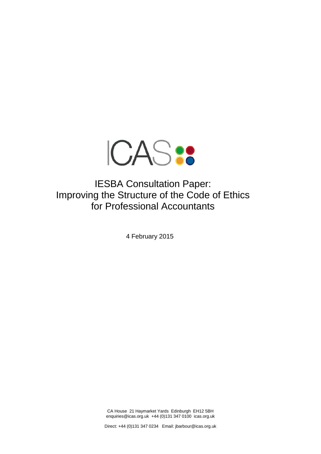

IESBA Consultation Paper: Improving the Structure of the Code of Ethics for Professional Accountants

4 February 2015

CA House 21 Haymarket Yards Edinburgh EH12 5BH enquiries@icas.org.uk +44 (0)131 347 0100 icas.org.uk

Direct: +44 (0)131 347 0234 Email: jbarbour@icas.org.uk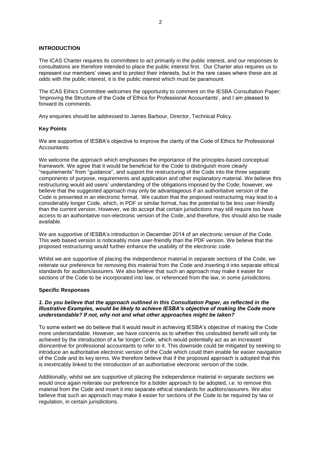## **INTRODUCTION**

The ICAS Charter requires its committees to act primarily in the public interest, and our responses to consultations are therefore intended to place the public interest first. Our Charter also requires us to represent our members' views and to protect their interests, but in the rare cases where these are at odds with the public interest, it is the public interest which must be paramount.

The ICAS Ethics Committee welcomes the opportunity to comment on the IESBA Consultation Paper: 'Improving the Structure of the Code of Ethics for Professional Accountants', and I am pleased to forward its comments.

Any enquiries should be addressed to James Barbour, Director, Technical Policy.

#### **Key Points**

We are supportive of IESBA's objective to improve the clarity of the Code of Ethics for Professional **Accountants** 

We welcome the approach which emphasises the importance of the principles-based conceptual framework. We agree that it would be beneficial for the Code to distinguish more clearly "requirements" from "guidance", and support the restructuring of the Code into the three separate components of purpose, requirements and application and other explanatory material. We believe this restructuring would aid users' understanding of the obligations imposed by the Code; however, we believe that the suggested approach may only be advantageous if an authoritative version of the Code is presented in an electronic format. We caution that the proposed restructuring may lead to a considerably longer Code, which, in PDF or similar format, has the potential to be less user-friendly than the current version. However, we do accept that certain jurisdictions may still require too have access to an authoritative non-electronic version of the Code, and therefore, this should also be made available.

We are supportive of IESBA's introduction in December 2014 of an electronic version of the Code. This web based version is noticeably more user-friendly than the PDF version. We believe that the proposed restructuring would further enhance the usability of the electronic code.

Whilst we are supportive of placing the independence material in separate sections of the Code, we reiterate our preference for removing this material from the Code and inserting it into separate ethical standards for auditors/assurers. We also believe that such an approach may make it easier for sections of the Code to be incorporated into law, or referenced from the law, in some jurisdictions.

#### **Specific Responses**

### *1. Do you believe that the approach outlined in this Consultation Paper, as reflected in the Illustrative Examples, would be likely to achieve IESBA's objective of making the Code more understandable? If not, why not and what other approaches might be taken?*

To some extent we do believe that it would result in achieving IESBA's objective of making the Code more understandable. However, we have concerns as to whether this undoubted benefit will only be achieved by the introduction of a far longer Code, which would potentially act as an increased disincentive for professional accountants to refer to it. This downside could be mitigated by seeking to introduce an authoritative electronic version of the Code which could then enable far easier navigation of the Code and its key terms. We therefore believe that if the proposed approach is adopted that this is inextricably linked to the introduction of an authoritative electronic version of the code.

Additionally, whilst we are supportive of placing the independence material in separate sections we would once again reiterate our preference for a bolder approach to be adopted, i.e. to remove this material from the Code and insert it into separate ethical standards for auditors/assurers. We also believe that such an approach may make it easier for sections of the Code to be required by law or regulation, in certain jurisdictions.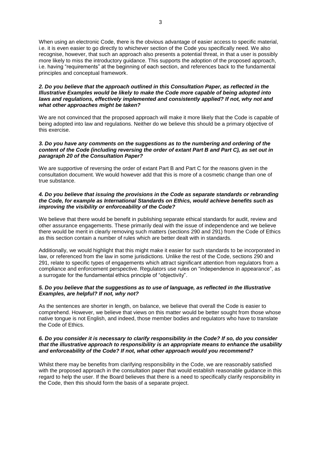When using an electronic Code, there is the obvious advantage of easier access to specific material, i.e. it is even easier to go directly to whichever section of the Code you specifically need. We also recognise, however, that such an approach also presents a potential threat, in that a user is possibly more likely to miss the introductory guidance. This supports the adoption of the proposed approach, i.e. having "requirements" at the beginning of each section, and references back to the fundamental principles and conceptual framework.

## *2. Do you believe that the approach outlined in this Consultation Paper, as reflected in the Illustrative Examples would be likely to make the Code more capable of being adopted into*  laws and regulations, effectively implemented and consistently applied? If not, why not and *what other approaches might be taken?*

We are not convinced that the proposed approach will make it more likely that the Code is capable of being adopted into law and regulations. Neither do we believe this should be a primary objective of this exercise.

## *3. Do you have any comments on the suggestions as to the numbering and ordering of the content of the Code (including reversing the order of extant Part B and Part C), as set out in paragraph 20 of the Consultation Paper?*

We are supportive of reversing the order of extant Part B and Part C for the reasons given in the consultation document. We would however add that this is more of a cosmetic change than one of true substance.

## *4. Do you believe that issuing the provisions in the Code as separate standards or rebranding the Code, for example as International Standards on Ethics, would achieve benefits such as improving the visibility or enforceability of the Code?*

We believe that there would be benefit in publishing separate ethical standards for audit, review and other assurance engagements. These primarily deal with the issue of independence and we believe there would be merit in clearly removing such matters (sections 290 and 291) from the Code of Ethics as this section contain a number of rules which are better dealt with in standards.

Additionally, we would highlight that this might make it easier for such standards to be incorporated in law, or referenced from the law in some jurisdictions. Unlike the rest of the Code, sections 290 and 291, relate to specific types of engagements which attract significant attention from regulators from a compliance and enforcement perspective. Regulators use rules on "independence in appearance", as a surrogate for the fundamental ethics principle of "objectivity".

# *5. Do you believe that the suggestions as to use of language, as reflected in the Illustrative Examples, are helpful? If not, why not?*

As the sentences are shorter in length, on balance, we believe that overall the Code is easier to comprehend. However, we believe that views on this matter would be better sought from those whose native tongue is not English, and indeed, those member bodies and regulators who have to translate the Code of Ethics.

### *6. Do you consider it is necessary to clarify responsibility in the Code? If so, do you consider that the illustrative approach to responsibility is an appropriate means to enhance the usability and enforceability of the Code? If not, what other approach would you recommend?*

Whilst there may be benefits from clarifying responsibility in the Code, we are reasonably satisfied with the proposed approach in the consultation paper that would establish reasonable guidance in this regard to help the user. If the Board believes that there is a need to specifically clarify responsibility in the Code, then this should form the basis of a separate project.